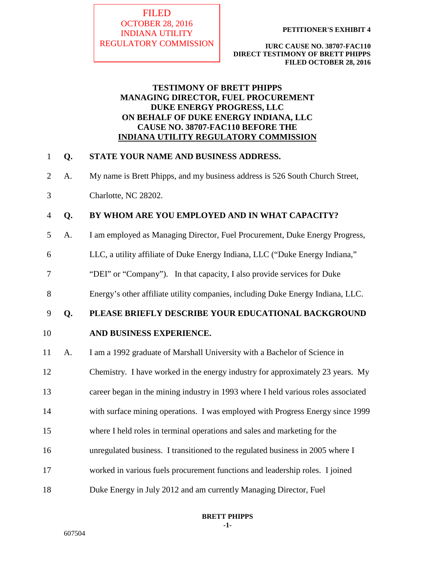## FILED OCTOBER 28, 2016 INDIANA UTILITY REGULATORY COMMISSION

**PETITIONER'S EXHIBIT 4** 

**IURC CAUSE NO. 38707-FAC110 DIRECT TESTIMONY OF BRETT PHIPPS FILED OCTOBER 28, 2016**

## **TESTIMONY OF BRETT PHIPPS MANAGING DIRECTOR, FUEL PROCUREMENT DUKE ENERGY PROGRESS, LLC ON BEHALF OF DUKE ENERGY INDIANA, LLC CAUSE NO. 38707-FAC110 BEFORE THE INDIANA UTILITY REGULATORY COMMISSION**

## 1 **Q. STATE YOUR NAME AND BUSINESS ADDRESS.**

- 2 A. My name is Brett Phipps, and my business address is 526 South Church Street,
- 3 Charlotte, NC 28202.

## 4 **Q. BY WHOM ARE YOU EMPLOYED AND IN WHAT CAPACITY?**

- 5 A. I am employed as Managing Director, Fuel Procurement, Duke Energy Progress,
- 6 LLC, a utility affiliate of Duke Energy Indiana, LLC ("Duke Energy Indiana,"
- 7 "DEI" or "Company"). In that capacity, I also provide services for Duke
- 8 Energy's other affiliate utility companies, including Duke Energy Indiana, LLC.

## 9 **Q. PLEASE BRIEFLY DESCRIBE YOUR EDUCATIONAL BACKGROUND**

## 10 **AND BUSINESS EXPERIENCE.**

- 11 A. I am a 1992 graduate of Marshall University with a Bachelor of Science in
- 12 Chemistry. I have worked in the energy industry for approximately 23 years. My
- 13 career began in the mining industry in 1993 where I held various roles associated
- 14 with surface mining operations. I was employed with Progress Energy since 1999
- 15 where I held roles in terminal operations and sales and marketing for the
- 16 unregulated business. I transitioned to the regulated business in 2005 where I
- 17 worked in various fuels procurement functions and leadership roles. I joined
- 18 Duke Energy in July 2012 and am currently Managing Director, Fuel

**BRETT PHIPPS -1-**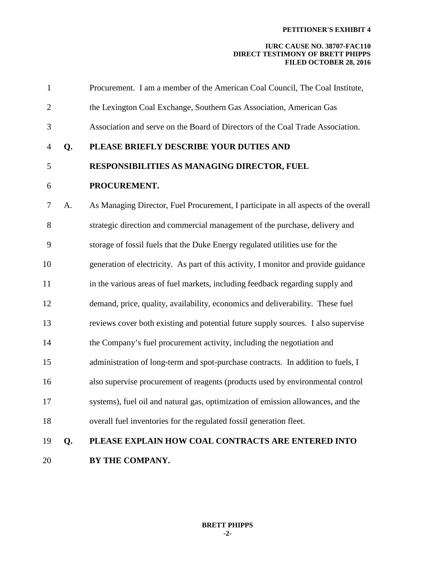| $\mathbf{1}$   |    | Procurement. I am a member of the American Coal Council, The Coal Institute,        |
|----------------|----|-------------------------------------------------------------------------------------|
| $\overline{c}$ |    | the Lexington Coal Exchange, Southern Gas Association, American Gas                 |
| 3              |    | Association and serve on the Board of Directors of the Coal Trade Association.      |
| 4              | Q. | PLEASE BRIEFLY DESCRIBE YOUR DUTIES AND                                             |
| 5              |    | RESPONSIBILITIES AS MANAGING DIRECTOR, FUEL                                         |
| 6              |    | PROCUREMENT.                                                                        |
| 7              | A. | As Managing Director, Fuel Procurement, I participate in all aspects of the overall |
| 8              |    | strategic direction and commercial management of the purchase, delivery and         |
| 9              |    | storage of fossil fuels that the Duke Energy regulated utilities use for the        |
| 10             |    | generation of electricity. As part of this activity, I monitor and provide guidance |
| 11             |    | in the various areas of fuel markets, including feedback regarding supply and       |
| 12             |    | demand, price, quality, availability, economics and deliverability. These fuel      |
| 13             |    | reviews cover both existing and potential future supply sources. I also supervise   |
| 14             |    | the Company's fuel procurement activity, including the negotiation and              |
| 15             |    | administration of long-term and spot-purchase contracts. In addition to fuels, I    |
| 16             |    | also supervise procurement of reagents (products used by environmental control      |
| 17             |    | systems), fuel oil and natural gas, optimization of emission allowances, and the    |
| 18             |    | overall fuel inventories for the regulated fossil generation fleet.                 |
| 19             | Q. | PLEASE EXPLAIN HOW COAL CONTRACTS ARE ENTERED INTO                                  |
| 20             |    | BY THE COMPANY.                                                                     |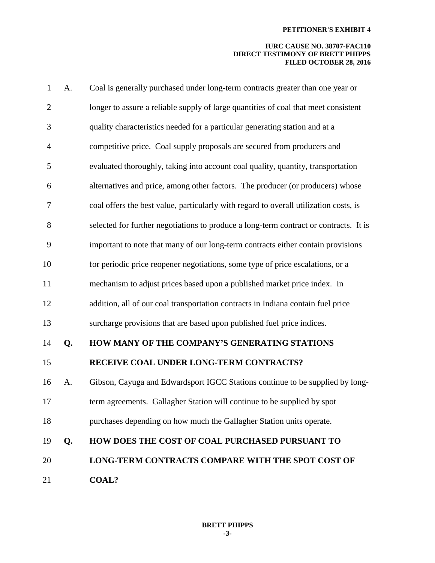| $\mathbf{1}$   | A. | Coal is generally purchased under long-term contracts greater than one year or        |
|----------------|----|---------------------------------------------------------------------------------------|
| $\overline{2}$ |    | longer to assure a reliable supply of large quantities of coal that meet consistent   |
| 3              |    | quality characteristics needed for a particular generating station and at a           |
| $\overline{4}$ |    | competitive price. Coal supply proposals are secured from producers and               |
| 5              |    | evaluated thoroughly, taking into account coal quality, quantity, transportation      |
| 6              |    | alternatives and price, among other factors. The producer (or producers) whose        |
| 7              |    | coal offers the best value, particularly with regard to overall utilization costs, is |
| 8              |    | selected for further negotiations to produce a long-term contract or contracts. It is |
| 9              |    | important to note that many of our long-term contracts either contain provisions      |
| 10             |    | for periodic price reopener negotiations, some type of price escalations, or a        |
| 11             |    | mechanism to adjust prices based upon a published market price index. In              |
| 12             |    | addition, all of our coal transportation contracts in Indiana contain fuel price      |
| 13             |    | surcharge provisions that are based upon published fuel price indices.                |
| 14             | Q. | HOW MANY OF THE COMPANY'S GENERATING STATIONS                                         |
| 15             |    | RECEIVE COAL UNDER LONG-TERM CONTRACTS?                                               |
| 16             | A. | Gibson, Cayuga and Edwardsport IGCC Stations continue to be supplied by long-         |
| 17             |    | term agreements. Gallagher Station will continue to be supplied by spot               |
| 18             |    | purchases depending on how much the Gallagher Station units operate.                  |
| 19             | Q. | HOW DOES THE COST OF COAL PURCHASED PURSUANT TO                                       |
| 20             |    | LONG-TERM CONTRACTS COMPARE WITH THE SPOT COST OF                                     |
| 21             |    | <b>COAL?</b>                                                                          |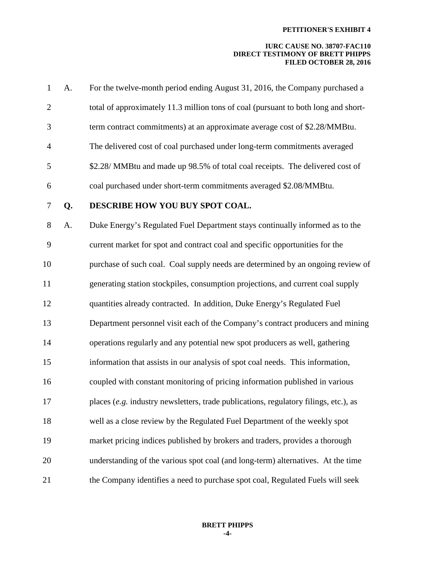| $\mathbf{1}$   | A. | For the twelve-month period ending August 31, 2016, the Company purchased a          |
|----------------|----|--------------------------------------------------------------------------------------|
| $\overline{2}$ |    | total of approximately 11.3 million tons of coal (pursuant to both long and short-   |
| 3              |    | term contract commitments) at an approximate average cost of \$2.28/MMBtu.           |
| $\overline{4}$ |    | The delivered cost of coal purchased under long-term commitments averaged            |
| 5              |    | \$2.28/ MMBtu and made up 98.5% of total coal receipts. The delivered cost of        |
| 6              |    | coal purchased under short-term commitments averaged \$2.08/MMBtu.                   |
| 7              | Q. | DESCRIBE HOW YOU BUY SPOT COAL.                                                      |
| 8              | A. | Duke Energy's Regulated Fuel Department stays continually informed as to the         |
| 9              |    | current market for spot and contract coal and specific opportunities for the         |
| 10             |    | purchase of such coal. Coal supply needs are determined by an ongoing review of      |
| 11             |    | generating station stockpiles, consumption projections, and current coal supply      |
| 12             |    | quantities already contracted. In addition, Duke Energy's Regulated Fuel             |
| 13             |    | Department personnel visit each of the Company's contract producers and mining       |
| 14             |    | operations regularly and any potential new spot producers as well, gathering         |
| 15             |    | information that assists in our analysis of spot coal needs. This information,       |
| 16             |    | coupled with constant monitoring of pricing information published in various         |
| 17             |    | places (e.g. industry newsletters, trade publications, regulatory filings, etc.), as |
| 18             |    | well as a close review by the Regulated Fuel Department of the weekly spot           |
| 19             |    | market pricing indices published by brokers and traders, provides a thorough         |
| 20             |    | understanding of the various spot coal (and long-term) alternatives. At the time     |
| 21             |    | the Company identifies a need to purchase spot coal, Regulated Fuels will seek       |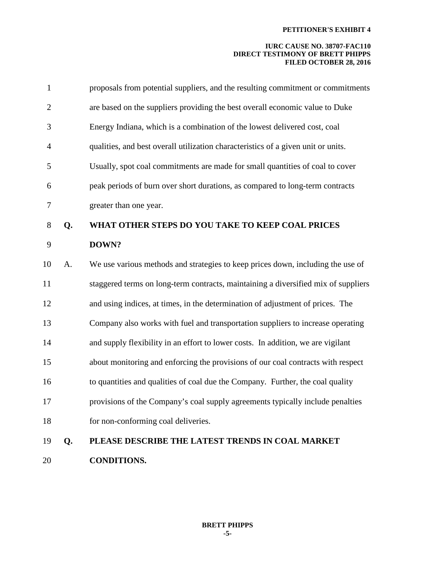| $\mathbf{1}$     |    | proposals from potential suppliers, and the resulting commitment or commitments    |
|------------------|----|------------------------------------------------------------------------------------|
| $\mathbf{2}$     |    | are based on the suppliers providing the best overall economic value to Duke       |
| 3                |    | Energy Indiana, which is a combination of the lowest delivered cost, coal          |
| $\overline{4}$   |    | qualities, and best overall utilization characteristics of a given unit or units.  |
| 5                |    | Usually, spot coal commitments are made for small quantities of coal to cover      |
| 6                |    | peak periods of burn over short durations, as compared to long-term contracts      |
| $\boldsymbol{7}$ |    | greater than one year.                                                             |
| 8                | Q. | WHAT OTHER STEPS DO YOU TAKE TO KEEP COAL PRICES                                   |
| 9                |    | DOWN?                                                                              |
| 10               | A. | We use various methods and strategies to keep prices down, including the use of    |
| 11               |    | staggered terms on long-term contracts, maintaining a diversified mix of suppliers |
| 12               |    | and using indices, at times, in the determination of adjustment of prices. The     |
| 13               |    | Company also works with fuel and transportation suppliers to increase operating    |
| 14               |    | and supply flexibility in an effort to lower costs. In addition, we are vigilant   |
| 15               |    | about monitoring and enforcing the provisions of our coal contracts with respect   |
| 16               |    | to quantities and qualities of coal due the Company. Further, the coal quality     |
| 17               |    | provisions of the Company's coal supply agreements typically include penalties     |
| 18               |    | for non-conforming coal deliveries.                                                |
| 19               | Q. | PLEASE DESCRIBE THE LATEST TRENDS IN COAL MARKET                                   |
| 20               |    | <b>CONDITIONS.</b>                                                                 |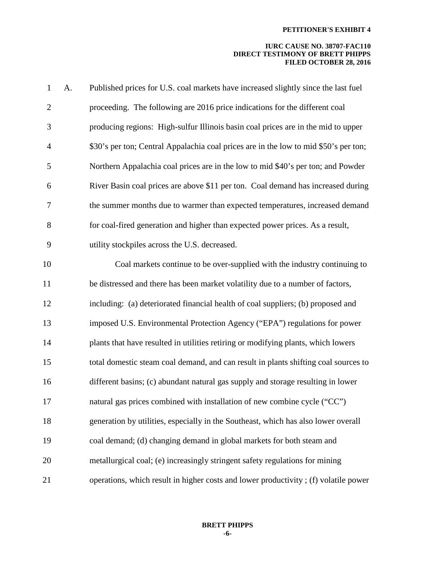| $\mathbf{1}$     | A. | Published prices for U.S. coal markets have increased slightly since the last fuel   |
|------------------|----|--------------------------------------------------------------------------------------|
| $\overline{2}$   |    | proceeding. The following are 2016 price indications for the different coal          |
| 3                |    | producing regions: High-sulfur Illinois basin coal prices are in the mid to upper    |
| $\overline{4}$   |    | \$30's per ton; Central Appalachia coal prices are in the low to mid \$50's per ton; |
| 5                |    | Northern Appalachia coal prices are in the low to mid \$40's per ton; and Powder     |
| 6                |    | River Basin coal prices are above \$11 per ton. Coal demand has increased during     |
| $\boldsymbol{7}$ |    | the summer months due to warmer than expected temperatures, increased demand         |
| 8                |    | for coal-fired generation and higher than expected power prices. As a result,        |
| 9                |    | utility stockpiles across the U.S. decreased.                                        |
| 10               |    | Coal markets continue to be over-supplied with the industry continuing to            |
| 11               |    | be distressed and there has been market volatility due to a number of factors,       |
| 12               |    | including: (a) deteriorated financial health of coal suppliers; (b) proposed and     |
| 13               |    | imposed U.S. Environmental Protection Agency ("EPA") regulations for power           |
| 14               |    | plants that have resulted in utilities retiring or modifying plants, which lowers    |
| 15               |    | total domestic steam coal demand, and can result in plants shifting coal sources to  |
| 16               |    | different basins; (c) abundant natural gas supply and storage resulting in lower     |
| 17               |    | natural gas prices combined with installation of new combine cycle ("CC")            |
| 18               |    | generation by utilities, especially in the Southeast, which has also lower overall   |
| 19               |    | coal demand; (d) changing demand in global markets for both steam and                |
| 20               |    | metallurgical coal; (e) increasingly stringent safety regulations for mining         |
| 21               |    | operations, which result in higher costs and lower productivity; (f) volatile power  |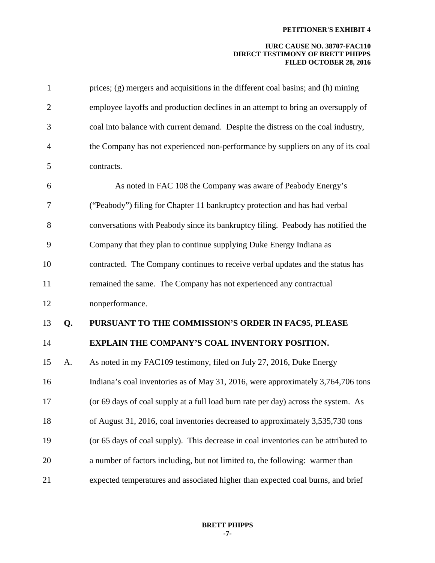| $\mathbf{1}$   |    | prices; (g) mergers and acquisitions in the different coal basins; and (h) mining   |
|----------------|----|-------------------------------------------------------------------------------------|
| $\overline{2}$ |    | employee layoffs and production declines in an attempt to bring an oversupply of    |
| 3              |    | coal into balance with current demand. Despite the distress on the coal industry,   |
| $\overline{4}$ |    | the Company has not experienced non-performance by suppliers on any of its coal     |
| 5              |    | contracts.                                                                          |
| 6              |    | As noted in FAC 108 the Company was aware of Peabody Energy's                       |
| 7              |    | ("Peabody") filing for Chapter 11 bankruptcy protection and has had verbal          |
| 8              |    | conversations with Peabody since its bankruptcy filing. Peabody has notified the    |
| 9              |    | Company that they plan to continue supplying Duke Energy Indiana as                 |
| 10             |    | contracted. The Company continues to receive verbal updates and the status has      |
| 11             |    | remained the same. The Company has not experienced any contractual                  |
| 12             |    | nonperformance.                                                                     |
| 13             | Q. | PURSUANT TO THE COMMISSION'S ORDER IN FAC95, PLEASE                                 |
| 14             |    | EXPLAIN THE COMPANY'S COAL INVENTORY POSITION.                                      |
| 15             | A. | As noted in my FAC109 testimony, filed on July 27, 2016, Duke Energy                |
| 16             |    | Indiana's coal inventories as of May 31, 2016, were approximately 3,764,706 tons    |
| 17             |    | (or 69 days of coal supply at a full load burn rate per day) across the system. As  |
| 18             |    | of August 31, 2016, coal inventories decreased to approximately 3,535,730 tons      |
| 19             |    | (or 65 days of coal supply). This decrease in coal inventories can be attributed to |
| 20             |    | a number of factors including, but not limited to, the following: warmer than       |
| 21             |    | expected temperatures and associated higher than expected coal burns, and brief     |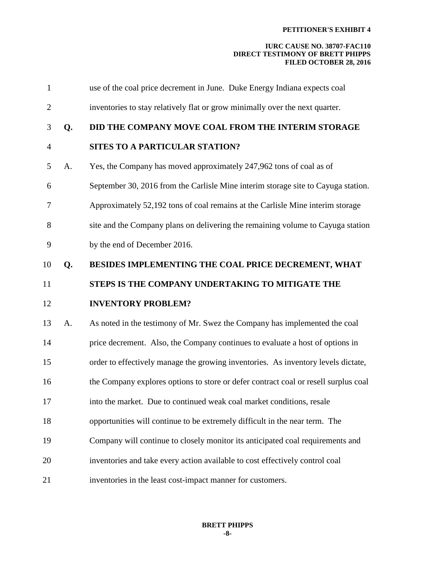| $\mathbf{1}$   |    | use of the coal price decrement in June. Duke Energy Indiana expects coal           |
|----------------|----|-------------------------------------------------------------------------------------|
| $\overline{2}$ |    | inventories to stay relatively flat or grow minimally over the next quarter.        |
| 3              | Q. | DID THE COMPANY MOVE COAL FROM THE INTERIM STORAGE                                  |
| $\overline{4}$ |    | SITES TO A PARTICULAR STATION?                                                      |
| 5              | A. | Yes, the Company has moved approximately 247,962 tons of coal as of                 |
| 6              |    | September 30, 2016 from the Carlisle Mine interim storage site to Cayuga station.   |
| 7              |    | Approximately 52,192 tons of coal remains at the Carlisle Mine interim storage      |
| 8              |    | site and the Company plans on delivering the remaining volume to Cayuga station     |
| 9              |    | by the end of December 2016.                                                        |
| 10             | Q. | BESIDES IMPLEMENTING THE COAL PRICE DECREMENT, WHAT                                 |
| 11             |    | STEPS IS THE COMPANY UNDERTAKING TO MITIGATE THE                                    |
| 12             |    | <b>INVENTORY PROBLEM?</b>                                                           |
| 13             | A. | As noted in the testimony of Mr. Swez the Company has implemented the coal          |
| 14             |    | price decrement. Also, the Company continues to evaluate a host of options in       |
| 15             |    | order to effectively manage the growing inventories. As inventory levels dictate,   |
| 16             |    | the Company explores options to store or defer contract coal or resell surplus coal |
| 17             |    | into the market. Due to continued weak coal market conditions, resale               |
| 18             |    | opportunities will continue to be extremely difficult in the near term. The         |
| 19             |    | Company will continue to closely monitor its anticipated coal requirements and      |
| 20             |    | inventories and take every action available to cost effectively control coal        |
| 21             |    | inventories in the least cost-impact manner for customers.                          |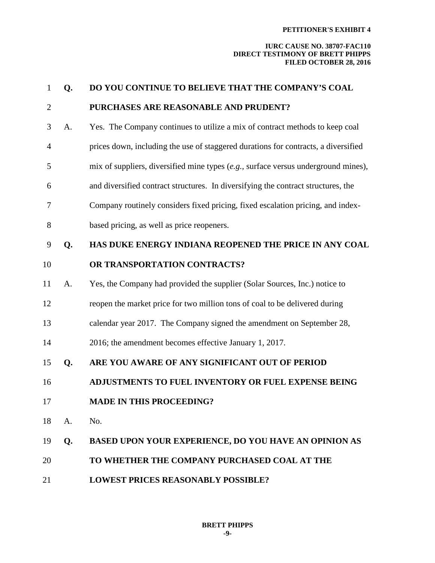| $\mathbf{1}$   | Q. | DO YOU CONTINUE TO BELIEVE THAT THE COMPANY'S COAL                                       |
|----------------|----|------------------------------------------------------------------------------------------|
| $\overline{2}$ |    | PURCHASES ARE REASONABLE AND PRUDENT?                                                    |
| 3              | A. | Yes. The Company continues to utilize a mix of contract methods to keep coal             |
| $\overline{4}$ |    | prices down, including the use of staggered durations for contracts, a diversified       |
| 5              |    | mix of suppliers, diversified mine types $(e.g.,\n  surface versus underground mines)$ , |
| 6              |    | and diversified contract structures. In diversifying the contract structures, the        |
| $\overline{7}$ |    | Company routinely considers fixed pricing, fixed escalation pricing, and index-          |
| $8\,$          |    | based pricing, as well as price reopeners.                                               |
| 9              | Q. | HAS DUKE ENERGY INDIANA REOPENED THE PRICE IN ANY COAL                                   |
| 10             |    | OR TRANSPORTATION CONTRACTS?                                                             |
| 11             | A. | Yes, the Company had provided the supplier (Solar Sources, Inc.) notice to               |
| 12             |    | reopen the market price for two million tons of coal to be delivered during              |
| 13             |    | calendar year 2017. The Company signed the amendment on September 28,                    |
| 14             |    | 2016; the amendment becomes effective January 1, 2017.                                   |
| 15             | Q. | ARE YOU AWARE OF ANY SIGNIFICANT OUT OF PERIOD                                           |
| 16             |    | ADJUSTMENTS TO FUEL INVENTORY OR FUEL EXPENSE BEING                                      |
| 17             |    | <b>MADE IN THIS PROCEEDING?</b>                                                          |
| 18             | A. | No.                                                                                      |
| 19             | Q. | BASED UPON YOUR EXPERIENCE, DO YOU HAVE AN OPINION AS                                    |
| 20             |    | TO WHETHER THE COMPANY PURCHASED COAL AT THE                                             |
| 21             |    | <b>LOWEST PRICES REASONABLY POSSIBLE?</b>                                                |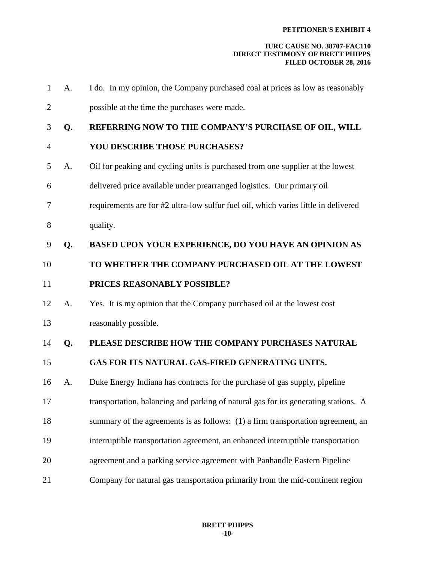| $\mathbf{1}$   | A. | I do. In my opinion, the Company purchased coal at prices as low as reasonably      |
|----------------|----|-------------------------------------------------------------------------------------|
| $\overline{2}$ |    | possible at the time the purchases were made.                                       |
| 3              | Q. | REFERRING NOW TO THE COMPANY'S PURCHASE OF OIL, WILL                                |
| $\overline{4}$ |    | <b>YOU DESCRIBE THOSE PURCHASES?</b>                                                |
| 5              | A. | Oil for peaking and cycling units is purchased from one supplier at the lowest      |
| 6              |    | delivered price available under prearranged logistics. Our primary oil              |
| 7              |    | requirements are for #2 ultra-low sulfur fuel oil, which varies little in delivered |
| 8              |    | quality.                                                                            |
| 9              | Q. | <b>BASED UPON YOUR EXPERIENCE, DO YOU HAVE AN OPINION AS</b>                        |
| 10             |    | TO WHETHER THE COMPANY PURCHASED OIL AT THE LOWEST                                  |
| 11             |    | PRICES REASONABLY POSSIBLE?                                                         |
| 12             | A. | Yes. It is my opinion that the Company purchased oil at the lowest cost             |
| 13             |    | reasonably possible.                                                                |
| 14             | Q. | PLEASE DESCRIBE HOW THE COMPANY PURCHASES NATURAL                                   |
| 15             |    | GAS FOR ITS NATURAL GAS-FIRED GENERATING UNITS.                                     |
| 16             | A. | Duke Energy Indiana has contracts for the purchase of gas supply, pipeline          |
| 17             |    | transportation, balancing and parking of natural gas for its generating stations. A |
| 18             |    | summary of the agreements is as follows: (1) a firm transportation agreement, an    |
| 19             |    | interruptible transportation agreement, an enhanced interruptible transportation    |
| 20             |    | agreement and a parking service agreement with Panhandle Eastern Pipeline           |
| 21             |    | Company for natural gas transportation primarily from the mid-continent region      |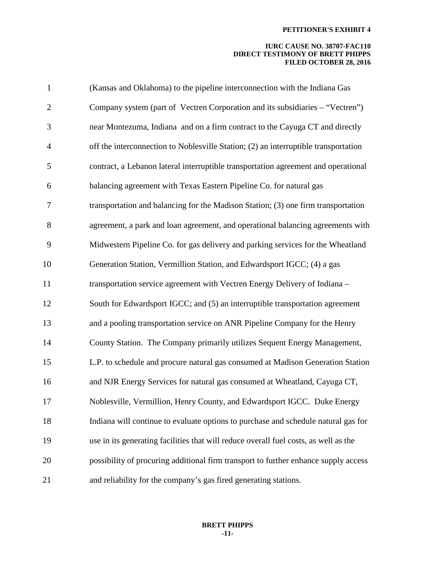| $\mathbf{1}$   | (Kansas and Oklahoma) to the pipeline interconnection with the Indiana Gas           |
|----------------|--------------------------------------------------------------------------------------|
| $\overline{2}$ | Company system (part of Vectren Corporation and its subsidiaries – "Vectren")        |
| 3              | near Montezuma, Indiana and on a firm contract to the Cayuga CT and directly         |
| $\overline{4}$ | off the interconnection to Noblesville Station; (2) an interruptible transportation  |
| 5              | contract, a Lebanon lateral interruptible transportation agreement and operational   |
| 6              | balancing agreement with Texas Eastern Pipeline Co. for natural gas                  |
| $\overline{7}$ | transportation and balancing for the Madison Station; (3) one firm transportation    |
| 8              | agreement, a park and loan agreement, and operational balancing agreements with      |
| 9              | Midwestern Pipeline Co. for gas delivery and parking services for the Wheatland      |
| 10             | Generation Station, Vermillion Station, and Edwardsport IGCC; (4) a gas              |
| 11             | transportation service agreement with Vectren Energy Delivery of Indiana -           |
| 12             | South for Edwardsport IGCC; and (5) an interruptible transportation agreement        |
| 13             | and a pooling transportation service on ANR Pipeline Company for the Henry           |
| 14             | County Station. The Company primarily utilizes Sequent Energy Management,            |
| 15             | L.P. to schedule and procure natural gas consumed at Madison Generation Station      |
| 16             | and NJR Energy Services for natural gas consumed at Wheatland, Cayuga CT,            |
| 17             | Noblesville, Vermillion, Henry County, and Edwardsport IGCC. Duke Energy             |
| 18             | Indiana will continue to evaluate options to purchase and schedule natural gas for   |
| 19             | use in its generating facilities that will reduce overall fuel costs, as well as the |
| 20             | possibility of procuring additional firm transport to further enhance supply access  |
| 21             | and reliability for the company's gas fired generating stations.                     |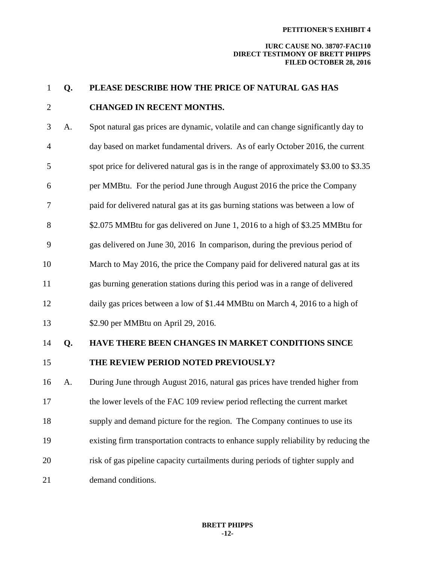#### **IURC CAUSE NO. 38707-FAC110 DIRECT TESTIMONY OF BRETT PHIPPS FILED OCTOBER 28, 2016**

# 2 **CHANGED IN RECENT MONTHS.** 3 A. Spot natural gas prices are dynamic, volatile and can change significantly day to 4 day based on market fundamental drivers. As of early October 2016, the current 5 spot price for delivered natural gas is in the range of approximately \$3.00 to \$3.35 6 per MMBtu. For the period June through August 2016 the price the Company 7 paid for delivered natural gas at its gas burning stations was between a low of 8 \$2.075 MMBtu for gas delivered on June 1, 2016 to a high of \$3.25 MMBtu for 9 gas delivered on June 30, 2016 In comparison, during the previous period of 10 March to May 2016, the price the Company paid for delivered natural gas at its 11 gas burning generation stations during this period was in a range of delivered 12 daily gas prices between a low of \$1.44 MMBtu on March 4, 2016 to a high of 13 \$2.90 per MMBtu on April 29, 2016. 14 **Q. HAVE THERE BEEN CHANGES IN MARKET CONDITIONS SINCE**  15 **THE REVIEW PERIOD NOTED PREVIOUSLY?** 16 A. During June through August 2016, natural gas prices have trended higher from 17 the lower levels of the FAC 109 review period reflecting the current market 18 supply and demand picture for the region. The Company continues to use its 19 existing firm transportation contracts to enhance supply reliability by reducing the 20 risk of gas pipeline capacity curtailments during periods of tighter supply and 21 demand conditions.

1 **Q. PLEASE DESCRIBE HOW THE PRICE OF NATURAL GAS HAS**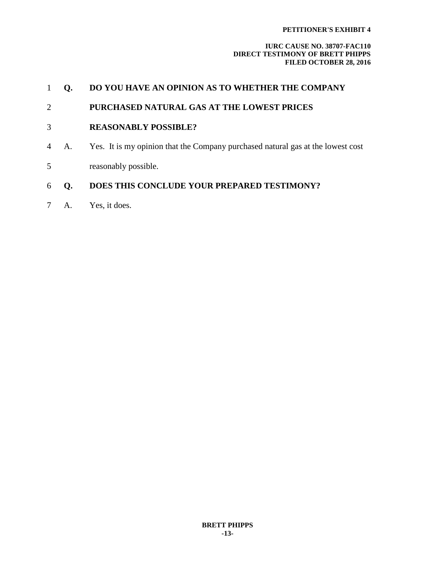|                | О. | DO YOU HAVE AN OPINION AS TO WHETHER THE COMPANY                                |
|----------------|----|---------------------------------------------------------------------------------|
| 2              |    | PURCHASED NATURAL GAS AT THE LOWEST PRICES                                      |
| 3              |    | <b>REASONABLY POSSIBLE?</b>                                                     |
| $\overline{4}$ | A. | Yes. It is my opinion that the Company purchased natural gas at the lowest cost |
| 5              |    | reasonably possible.                                                            |
| 6              | O. | DOES THIS CONCLUDE YOUR PREPARED TESTIMONY?                                     |
|                | A. | Yes, it does.                                                                   |